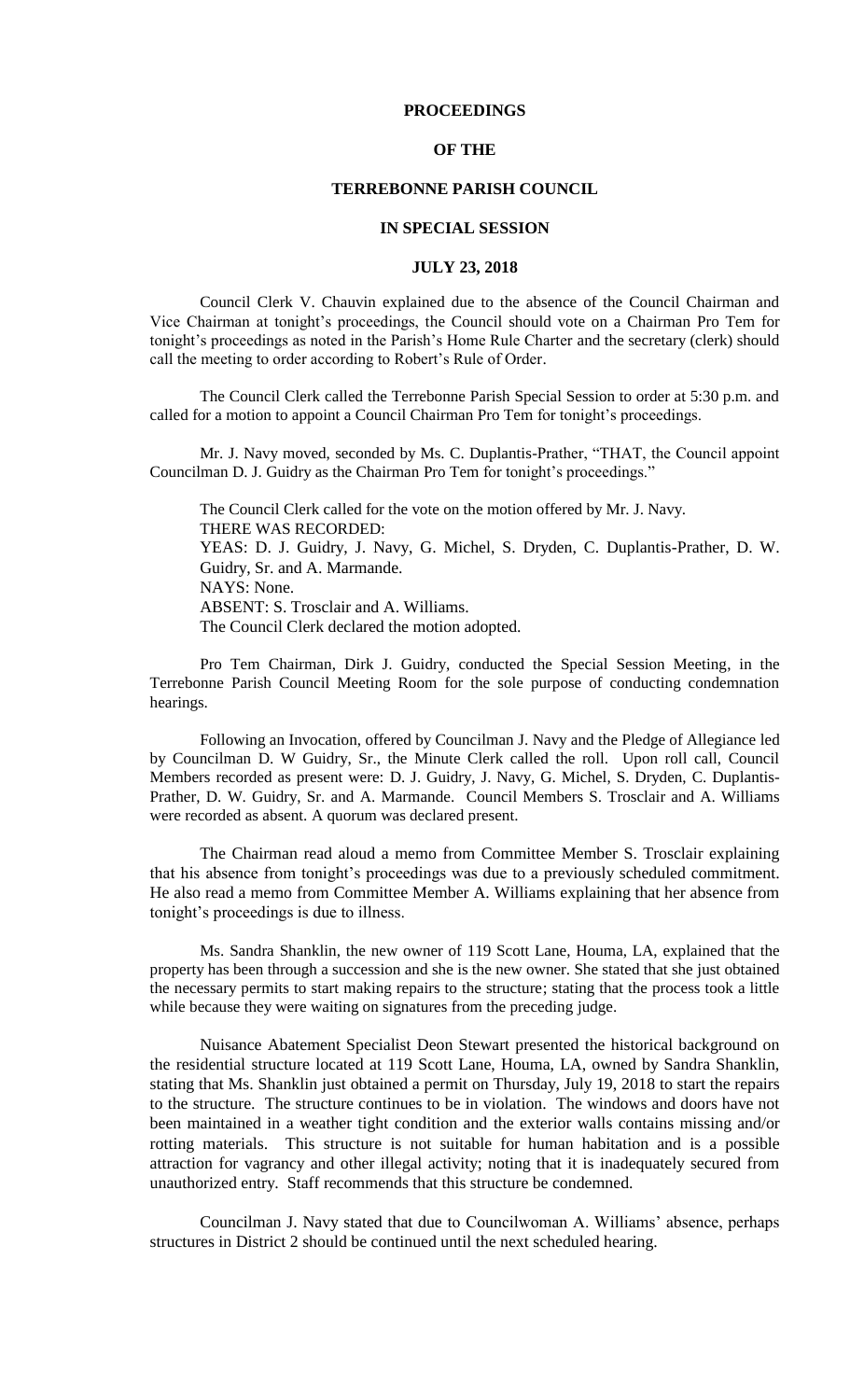## **PROCEEDINGS**

## **OF THE**

# **TERREBONNE PARISH COUNCIL**

#### **IN SPECIAL SESSION**

### **JULY 23, 2018**

Council Clerk V. Chauvin explained due to the absence of the Council Chairman and Vice Chairman at tonight's proceedings, the Council should vote on a Chairman Pro Tem for tonight's proceedings as noted in the Parish's Home Rule Charter and the secretary (clerk) should call the meeting to order according to Robert's Rule of Order.

The Council Clerk called the Terrebonne Parish Special Session to order at 5:30 p.m. and called for a motion to appoint a Council Chairman Pro Tem for tonight's proceedings.

Mr. J. Navy moved, seconded by Ms. C. Duplantis-Prather, "THAT, the Council appoint Councilman D. J. Guidry as the Chairman Pro Tem for tonight's proceedings."

The Council Clerk called for the vote on the motion offered by Mr. J. Navy. THERE WAS RECORDED: YEAS: D. J. Guidry, J. Navy, G. Michel, S. Dryden, C. Duplantis-Prather, D. W. Guidry, Sr. and A. Marmande. NAYS: None. ABSENT: S. Trosclair and A. Williams.

The Council Clerk declared the motion adopted.

Pro Tem Chairman, Dirk J. Guidry, conducted the Special Session Meeting, in the Terrebonne Parish Council Meeting Room for the sole purpose of conducting condemnation hearings.

Following an Invocation, offered by Councilman J. Navy and the Pledge of Allegiance led by Councilman D. W Guidry, Sr., the Minute Clerk called the roll. Upon roll call, Council Members recorded as present were: D. J. Guidry, J. Navy, G. Michel, S. Dryden, C. Duplantis-Prather, D. W. Guidry, Sr. and A. Marmande. Council Members S. Trosclair and A. Williams were recorded as absent. A quorum was declared present.

The Chairman read aloud a memo from Committee Member S. Trosclair explaining that his absence from tonight's proceedings was due to a previously scheduled commitment. He also read a memo from Committee Member A. Williams explaining that her absence from tonight's proceedings is due to illness.

Ms. Sandra Shanklin, the new owner of 119 Scott Lane, Houma, LA, explained that the property has been through a succession and she is the new owner. She stated that she just obtained the necessary permits to start making repairs to the structure; stating that the process took a little while because they were waiting on signatures from the preceding judge.

Nuisance Abatement Specialist Deon Stewart presented the historical background on the residential structure located at 119 Scott Lane, Houma, LA, owned by Sandra Shanklin, stating that Ms. Shanklin just obtained a permit on Thursday, July 19, 2018 to start the repairs to the structure. The structure continues to be in violation. The windows and doors have not been maintained in a weather tight condition and the exterior walls contains missing and/or rotting materials. This structure is not suitable for human habitation and is a possible attraction for vagrancy and other illegal activity; noting that it is inadequately secured from unauthorized entry. Staff recommends that this structure be condemned.

Councilman J. Navy stated that due to Councilwoman A. Williams' absence, perhaps structures in District 2 should be continued until the next scheduled hearing.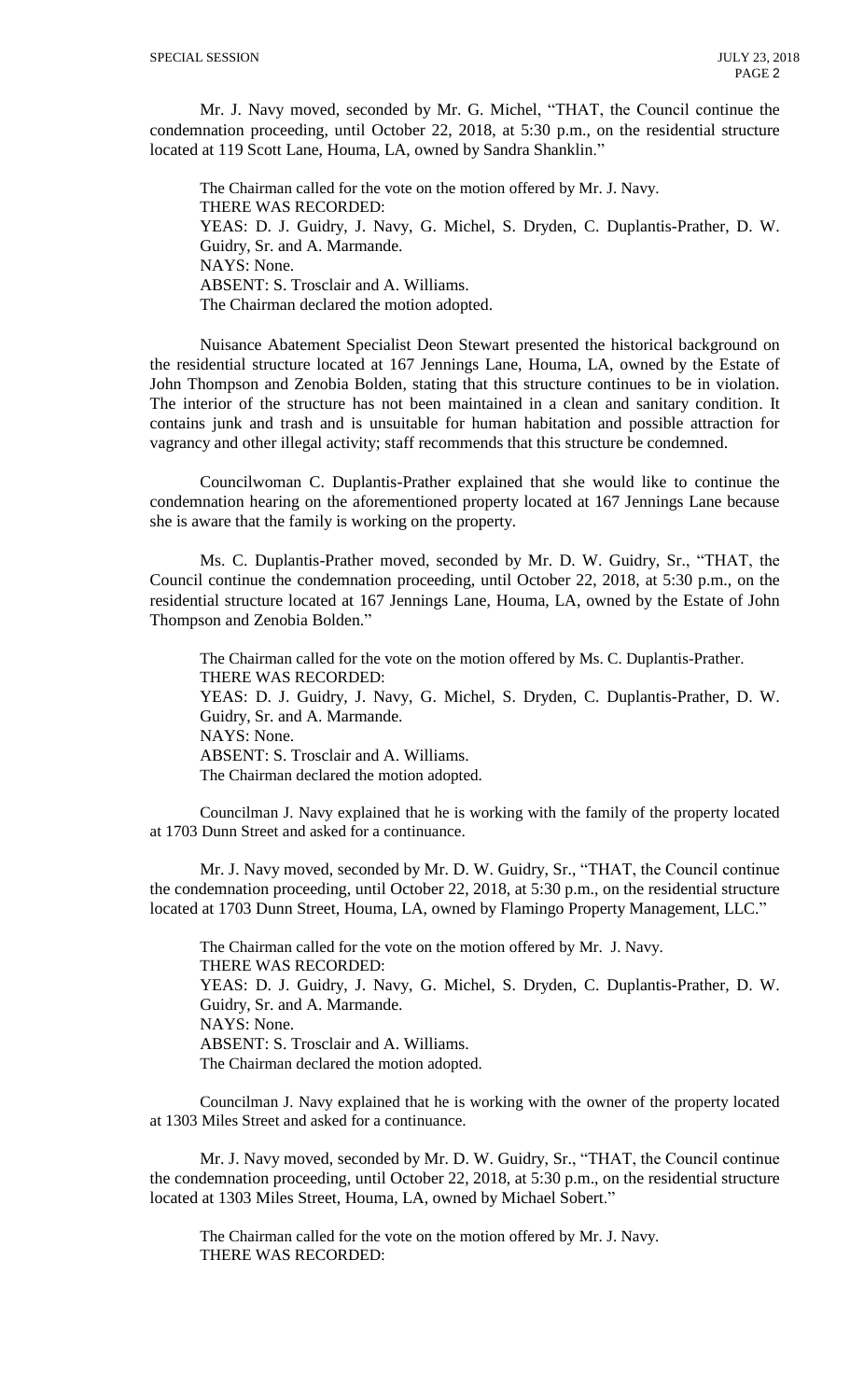Mr. J. Navy moved, seconded by Mr. G. Michel, "THAT, the Council continue the condemnation proceeding, until October 22, 2018, at 5:30 p.m., on the residential structure located at 119 Scott Lane, Houma, LA, owned by Sandra Shanklin."

The Chairman called for the vote on the motion offered by Mr. J. Navy. THERE WAS RECORDED: YEAS: D. J. Guidry, J. Navy, G. Michel, S. Dryden, C. Duplantis-Prather, D. W. Guidry, Sr. and A. Marmande. NAYS: None. ABSENT: S. Trosclair and A. Williams. The Chairman declared the motion adopted.

Nuisance Abatement Specialist Deon Stewart presented the historical background on the residential structure located at 167 Jennings Lane, Houma, LA, owned by the Estate of John Thompson and Zenobia Bolden, stating that this structure continues to be in violation. The interior of the structure has not been maintained in a clean and sanitary condition. It contains junk and trash and is unsuitable for human habitation and possible attraction for vagrancy and other illegal activity; staff recommends that this structure be condemned.

Councilwoman C. Duplantis-Prather explained that she would like to continue the condemnation hearing on the aforementioned property located at 167 Jennings Lane because she is aware that the family is working on the property.

Ms. C. Duplantis-Prather moved, seconded by Mr. D. W. Guidry, Sr., "THAT, the Council continue the condemnation proceeding, until October 22, 2018, at 5:30 p.m., on the residential structure located at 167 Jennings Lane, Houma, LA, owned by the Estate of John Thompson and Zenobia Bolden."

The Chairman called for the vote on the motion offered by Ms. C. Duplantis-Prather. THERE WAS RECORDED: YEAS: D. J. Guidry, J. Navy, G. Michel, S. Dryden, C. Duplantis-Prather, D. W. Guidry, Sr. and A. Marmande. NAYS: None. ABSENT: S. Trosclair and A. Williams. The Chairman declared the motion adopted.

Councilman J. Navy explained that he is working with the family of the property located at 1703 Dunn Street and asked for a continuance.

Mr. J. Navy moved, seconded by Mr. D. W. Guidry, Sr., "THAT, the Council continue the condemnation proceeding, until October 22, 2018, at 5:30 p.m., on the residential structure located at 1703 Dunn Street, Houma, LA, owned by Flamingo Property Management, LLC."

The Chairman called for the vote on the motion offered by Mr. J. Navy. THERE WAS RECORDED: YEAS: D. J. Guidry, J. Navy, G. Michel, S. Dryden, C. Duplantis-Prather, D. W. Guidry, Sr. and A. Marmande. NAYS: None. ABSENT: S. Trosclair and A. Williams. The Chairman declared the motion adopted.

Councilman J. Navy explained that he is working with the owner of the property located at 1303 Miles Street and asked for a continuance.

Mr. J. Navy moved, seconded by Mr. D. W. Guidry, Sr., "THAT, the Council continue the condemnation proceeding, until October 22, 2018, at 5:30 p.m., on the residential structure located at 1303 Miles Street, Houma, LA, owned by Michael Sobert."

The Chairman called for the vote on the motion offered by Mr. J. Navy. THERE WAS RECORDED: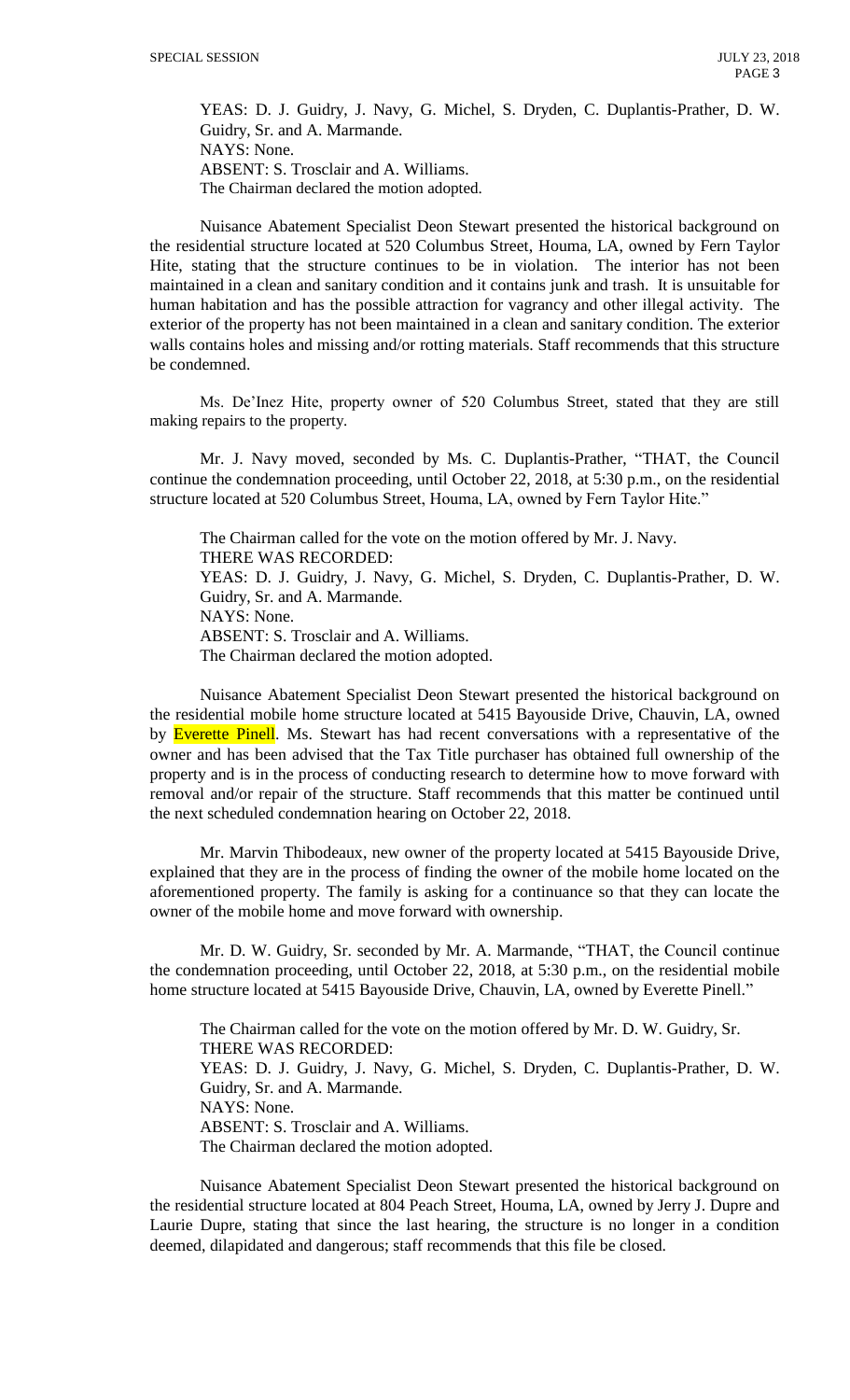YEAS: D. J. Guidry, J. Navy, G. Michel, S. Dryden, C. Duplantis-Prather, D. W. Guidry, Sr. and A. Marmande. NAYS: None. ABSENT: S. Trosclair and A. Williams. The Chairman declared the motion adopted.

Nuisance Abatement Specialist Deon Stewart presented the historical background on the residential structure located at 520 Columbus Street, Houma, LA, owned by Fern Taylor Hite, stating that the structure continues to be in violation. The interior has not been maintained in a clean and sanitary condition and it contains junk and trash. It is unsuitable for human habitation and has the possible attraction for vagrancy and other illegal activity. The exterior of the property has not been maintained in a clean and sanitary condition. The exterior walls contains holes and missing and/or rotting materials. Staff recommends that this structure be condemned.

Ms. De'Inez Hite, property owner of 520 Columbus Street, stated that they are still making repairs to the property.

Mr. J. Navy moved, seconded by Ms. C. Duplantis-Prather, "THAT, the Council continue the condemnation proceeding, until October 22, 2018, at 5:30 p.m., on the residential structure located at 520 Columbus Street, Houma, LA, owned by Fern Taylor Hite."

The Chairman called for the vote on the motion offered by Mr. J. Navy. THERE WAS RECORDED: YEAS: D. J. Guidry, J. Navy, G. Michel, S. Dryden, C. Duplantis-Prather, D. W. Guidry, Sr. and A. Marmande. NAYS: None. ABSENT: S. Trosclair and A. Williams. The Chairman declared the motion adopted.

Nuisance Abatement Specialist Deon Stewart presented the historical background on the residential mobile home structure located at 5415 Bayouside Drive, Chauvin, LA, owned by **Everette Pinell**. Ms. Stewart has had recent conversations with a representative of the owner and has been advised that the Tax Title purchaser has obtained full ownership of the property and is in the process of conducting research to determine how to move forward with removal and/or repair of the structure. Staff recommends that this matter be continued until the next scheduled condemnation hearing on October 22, 2018.

Mr. Marvin Thibodeaux, new owner of the property located at 5415 Bayouside Drive, explained that they are in the process of finding the owner of the mobile home located on the aforementioned property. The family is asking for a continuance so that they can locate the owner of the mobile home and move forward with ownership.

Mr. D. W. Guidry, Sr. seconded by Mr. A. Marmande, "THAT, the Council continue the condemnation proceeding, until October 22, 2018, at 5:30 p.m., on the residential mobile home structure located at 5415 Bayouside Drive, Chauvin, LA, owned by Everette Pinell."

The Chairman called for the vote on the motion offered by Mr. D. W. Guidry, Sr. THERE WAS RECORDED: YEAS: D. J. Guidry, J. Navy, G. Michel, S. Dryden, C. Duplantis-Prather, D. W. Guidry, Sr. and A. Marmande. NAYS: None. ABSENT: S. Trosclair and A. Williams. The Chairman declared the motion adopted.

Nuisance Abatement Specialist Deon Stewart presented the historical background on the residential structure located at 804 Peach Street, Houma, LA, owned by Jerry J. Dupre and Laurie Dupre, stating that since the last hearing, the structure is no longer in a condition deemed, dilapidated and dangerous; staff recommends that this file be closed.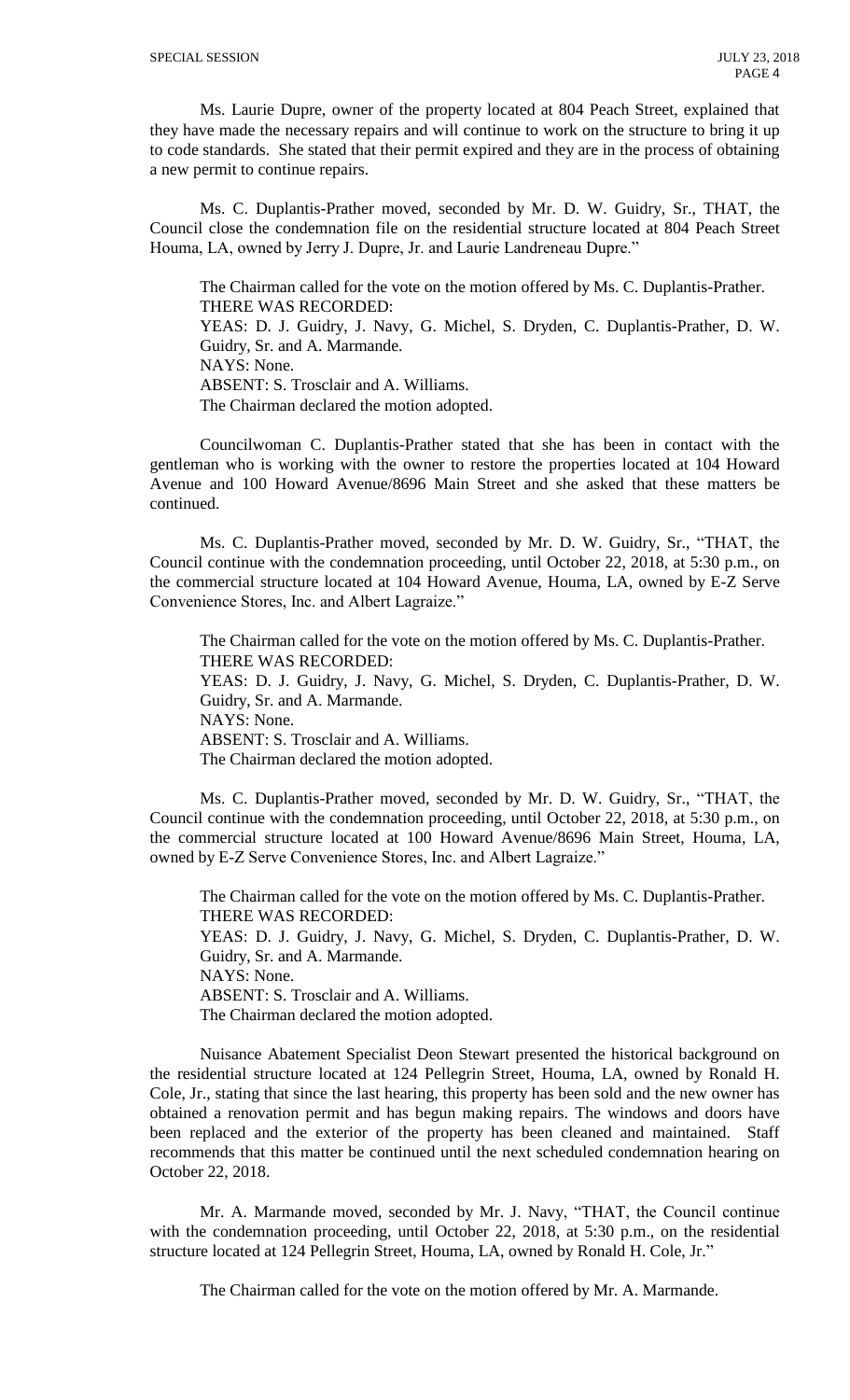Ms. Laurie Dupre, owner of the property located at 804 Peach Street, explained that they have made the necessary repairs and will continue to work on the structure to bring it up to code standards. She stated that their permit expired and they are in the process of obtaining a new permit to continue repairs.

Ms. C. Duplantis-Prather moved, seconded by Mr. D. W. Guidry, Sr., THAT, the Council close the condemnation file on the residential structure located at 804 Peach Street Houma, LA, owned by Jerry J. Dupre, Jr. and Laurie Landreneau Dupre."

The Chairman called for the vote on the motion offered by Ms. C. Duplantis-Prather. THERE WAS RECORDED:

YEAS: D. J. Guidry, J. Navy, G. Michel, S. Dryden, C. Duplantis-Prather, D. W. Guidry, Sr. and A. Marmande.

NAYS: None.

ABSENT: S. Trosclair and A. Williams.

The Chairman declared the motion adopted.

Councilwoman C. Duplantis-Prather stated that she has been in contact with the gentleman who is working with the owner to restore the properties located at 104 Howard Avenue and 100 Howard Avenue/8696 Main Street and she asked that these matters be continued.

Ms. C. Duplantis-Prather moved, seconded by Mr. D. W. Guidry, Sr., "THAT, the Council continue with the condemnation proceeding, until October 22, 2018, at 5:30 p.m., on the commercial structure located at 104 Howard Avenue, Houma, LA, owned by E-Z Serve Convenience Stores, Inc. and Albert Lagraize."

The Chairman called for the vote on the motion offered by Ms. C. Duplantis-Prather. THERE WAS RECORDED: YEAS: D. J. Guidry, J. Navy, G. Michel, S. Dryden, C. Duplantis-Prather, D. W. Guidry, Sr. and A. Marmande. NAYS: None. ABSENT: S. Trosclair and A. Williams. The Chairman declared the motion adopted.

Ms. C. Duplantis-Prather moved, seconded by Mr. D. W. Guidry, Sr., "THAT, the Council continue with the condemnation proceeding, until October 22, 2018, at 5:30 p.m., on the commercial structure located at 100 Howard Avenue/8696 Main Street, Houma, LA, owned by E-Z Serve Convenience Stores, Inc. and Albert Lagraize."

The Chairman called for the vote on the motion offered by Ms. C. Duplantis-Prather. THERE WAS RECORDED: YEAS: D. J. Guidry, J. Navy, G. Michel, S. Dryden, C. Duplantis-Prather, D. W. Guidry, Sr. and A. Marmande. NAYS: None. ABSENT: S. Trosclair and A. Williams. The Chairman declared the motion adopted.

Nuisance Abatement Specialist Deon Stewart presented the historical background on the residential structure located at 124 Pellegrin Street, Houma, LA, owned by Ronald H. Cole, Jr., stating that since the last hearing, this property has been sold and the new owner has obtained a renovation permit and has begun making repairs. The windows and doors have been replaced and the exterior of the property has been cleaned and maintained. Staff recommends that this matter be continued until the next scheduled condemnation hearing on October 22, 2018.

Mr. A. Marmande moved, seconded by Mr. J. Navy, "THAT, the Council continue with the condemnation proceeding, until October 22, 2018, at 5:30 p.m., on the residential structure located at 124 Pellegrin Street, Houma, LA, owned by Ronald H. Cole, Jr."

The Chairman called for the vote on the motion offered by Mr. A. Marmande.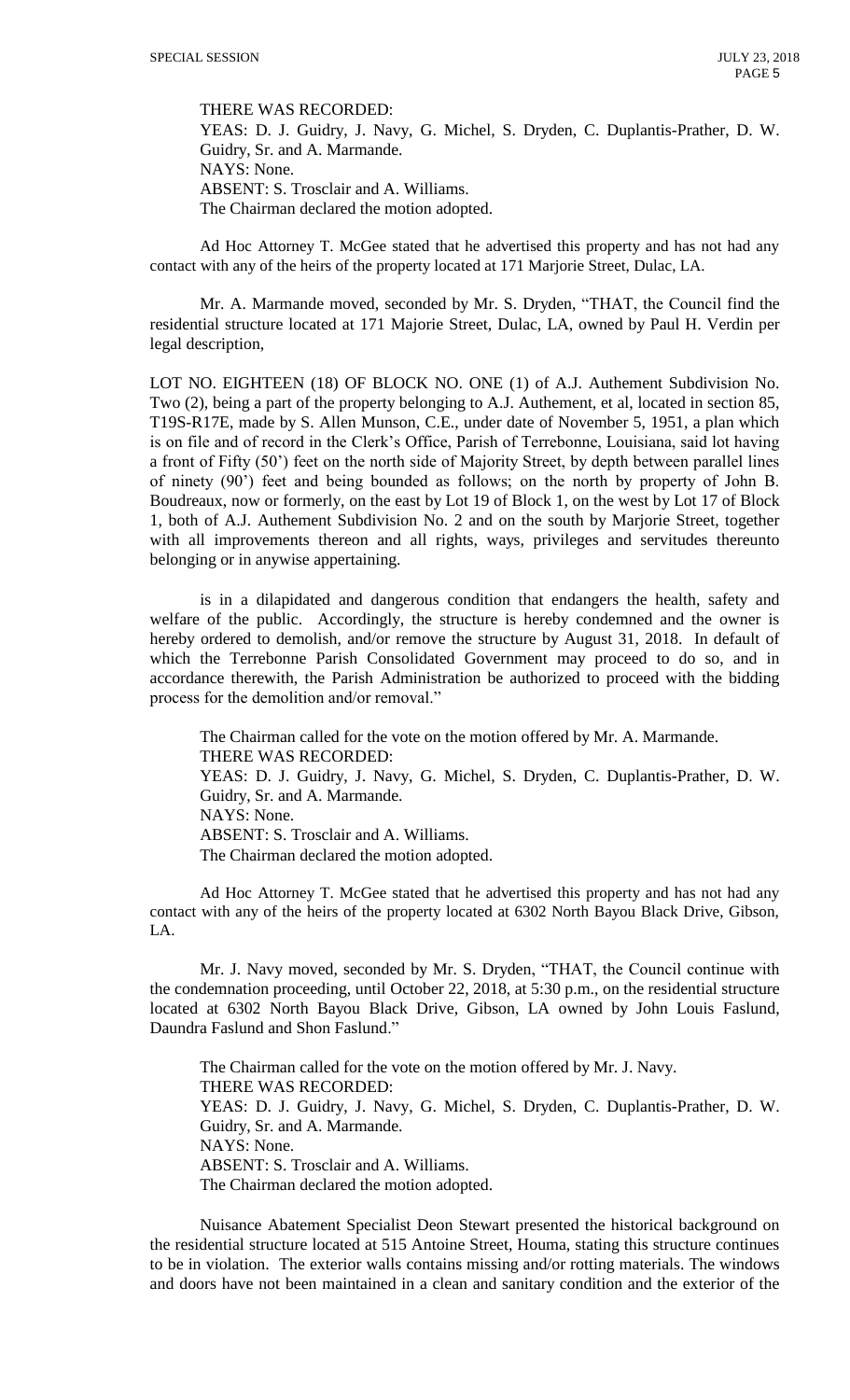THERE WAS RECORDED:

YEAS: D. J. Guidry, J. Navy, G. Michel, S. Dryden, C. Duplantis-Prather, D. W. Guidry, Sr. and A. Marmande. NAYS: None. ABSENT: S. Trosclair and A. Williams. The Chairman declared the motion adopted.

Ad Hoc Attorney T. McGee stated that he advertised this property and has not had any contact with any of the heirs of the property located at 171 Marjorie Street, Dulac, LA.

Mr. A. Marmande moved, seconded by Mr. S. Dryden, "THAT, the Council find the residential structure located at 171 Majorie Street, Dulac, LA, owned by Paul H. Verdin per legal description,

LOT NO. EIGHTEEN (18) OF BLOCK NO. ONE (1) of A.J. Authement Subdivision No. Two (2), being a part of the property belonging to A.J. Authement, et al, located in section 85, T19S-R17E, made by S. Allen Munson, C.E., under date of November 5, 1951, a plan which is on file and of record in the Clerk's Office, Parish of Terrebonne, Louisiana, said lot having a front of Fifty (50') feet on the north side of Majority Street, by depth between parallel lines of ninety (90') feet and being bounded as follows; on the north by property of John B. Boudreaux, now or formerly, on the east by Lot 19 of Block 1, on the west by Lot 17 of Block 1, both of A.J. Authement Subdivision No. 2 and on the south by Marjorie Street, together with all improvements thereon and all rights, ways, privileges and servitudes thereunto belonging or in anywise appertaining.

is in a dilapidated and dangerous condition that endangers the health, safety and welfare of the public. Accordingly, the structure is hereby condemned and the owner is hereby ordered to demolish, and/or remove the structure by August 31, 2018. In default of which the Terrebonne Parish Consolidated Government may proceed to do so, and in accordance therewith, the Parish Administration be authorized to proceed with the bidding process for the demolition and/or removal."

The Chairman called for the vote on the motion offered by Mr. A. Marmande. THERE WAS RECORDED: YEAS: D. J. Guidry, J. Navy, G. Michel, S. Dryden, C. Duplantis-Prather, D. W. Guidry, Sr. and A. Marmande. NAYS: None. ABSENT: S. Trosclair and A. Williams. The Chairman declared the motion adopted.

Ad Hoc Attorney T. McGee stated that he advertised this property and has not had any contact with any of the heirs of the property located at 6302 North Bayou Black Drive, Gibson, LA.

Mr. J. Navy moved, seconded by Mr. S. Dryden, "THAT, the Council continue with the condemnation proceeding, until October 22, 2018, at 5:30 p.m., on the residential structure located at 6302 North Bayou Black Drive, Gibson, LA owned by John Louis Faslund, Daundra Faslund and Shon Faslund."

The Chairman called for the vote on the motion offered by Mr. J. Navy. THERE WAS RECORDED: YEAS: D. J. Guidry, J. Navy, G. Michel, S. Dryden, C. Duplantis-Prather, D. W. Guidry, Sr. and A. Marmande. NAYS: None. ABSENT: S. Trosclair and A. Williams. The Chairman declared the motion adopted.

Nuisance Abatement Specialist Deon Stewart presented the historical background on the residential structure located at 515 Antoine Street, Houma, stating this structure continues to be in violation. The exterior walls contains missing and/or rotting materials. The windows and doors have not been maintained in a clean and sanitary condition and the exterior of the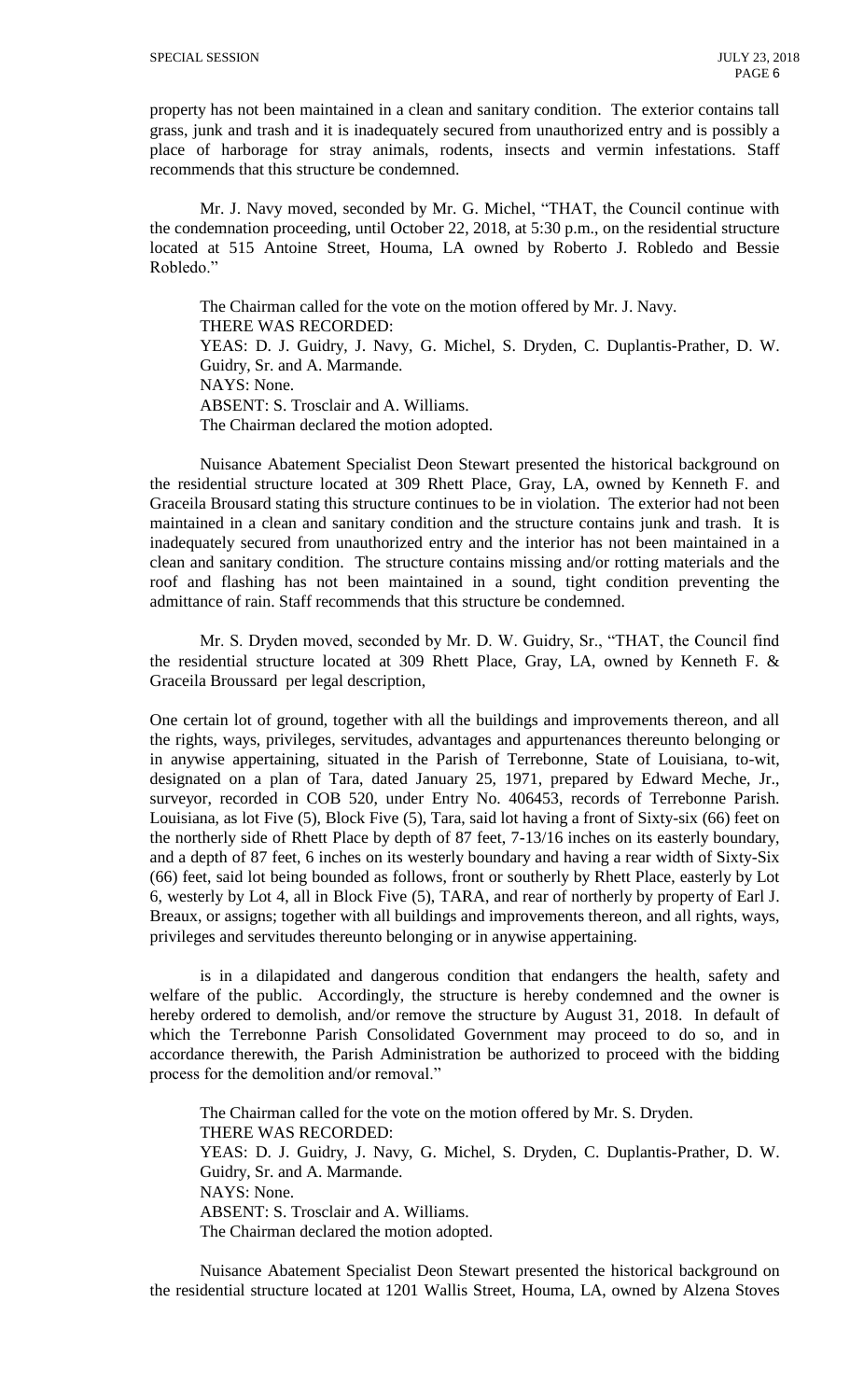property has not been maintained in a clean and sanitary condition. The exterior contains tall grass, junk and trash and it is inadequately secured from unauthorized entry and is possibly a place of harborage for stray animals, rodents, insects and vermin infestations. Staff recommends that this structure be condemned.

Mr. J. Navy moved, seconded by Mr. G. Michel, "THAT, the Council continue with the condemnation proceeding, until October 22, 2018, at 5:30 p.m., on the residential structure located at 515 Antoine Street, Houma, LA owned by Roberto J. Robledo and Bessie Robledo."

The Chairman called for the vote on the motion offered by Mr. J. Navy. THERE WAS RECORDED: YEAS: D. J. Guidry, J. Navy, G. Michel, S. Dryden, C. Duplantis-Prather, D. W. Guidry, Sr. and A. Marmande. NAYS: None. ABSENT: S. Trosclair and A. Williams. The Chairman declared the motion adopted.

Nuisance Abatement Specialist Deon Stewart presented the historical background on the residential structure located at 309 Rhett Place, Gray, LA, owned by Kenneth F. and Graceila Brousard stating this structure continues to be in violation. The exterior had not been maintained in a clean and sanitary condition and the structure contains junk and trash. It is inadequately secured from unauthorized entry and the interior has not been maintained in a clean and sanitary condition. The structure contains missing and/or rotting materials and the roof and flashing has not been maintained in a sound, tight condition preventing the admittance of rain. Staff recommends that this structure be condemned.

Mr. S. Dryden moved, seconded by Mr. D. W. Guidry, Sr., "THAT, the Council find the residential structure located at 309 Rhett Place, Gray, LA, owned by Kenneth F. & Graceila Broussard per legal description,

One certain lot of ground, together with all the buildings and improvements thereon, and all the rights, ways, privileges, servitudes, advantages and appurtenances thereunto belonging or in anywise appertaining, situated in the Parish of Terrebonne, State of Louisiana, to-wit, designated on a plan of Tara, dated January 25, 1971, prepared by Edward Meche, Jr., surveyor, recorded in COB 520, under Entry No. 406453, records of Terrebonne Parish. Louisiana, as lot Five (5), Block Five (5), Tara, said lot having a front of Sixty-six (66) feet on the northerly side of Rhett Place by depth of 87 feet, 7-13/16 inches on its easterly boundary, and a depth of 87 feet, 6 inches on its westerly boundary and having a rear width of Sixty-Six (66) feet, said lot being bounded as follows, front or southerly by Rhett Place, easterly by Lot 6, westerly by Lot 4, all in Block Five (5), TARA, and rear of northerly by property of Earl J. Breaux, or assigns; together with all buildings and improvements thereon, and all rights, ways, privileges and servitudes thereunto belonging or in anywise appertaining.

is in a dilapidated and dangerous condition that endangers the health, safety and welfare of the public. Accordingly, the structure is hereby condemned and the owner is hereby ordered to demolish, and/or remove the structure by August 31, 2018. In default of which the Terrebonne Parish Consolidated Government may proceed to do so, and in accordance therewith, the Parish Administration be authorized to proceed with the bidding process for the demolition and/or removal."

The Chairman called for the vote on the motion offered by Mr. S. Dryden. THERE WAS RECORDED: YEAS: D. J. Guidry, J. Navy, G. Michel, S. Dryden, C. Duplantis-Prather, D. W. Guidry, Sr. and A. Marmande. NAYS: None. ABSENT: S. Trosclair and A. Williams. The Chairman declared the motion adopted.

Nuisance Abatement Specialist Deon Stewart presented the historical background on the residential structure located at 1201 Wallis Street, Houma, LA, owned by Alzena Stoves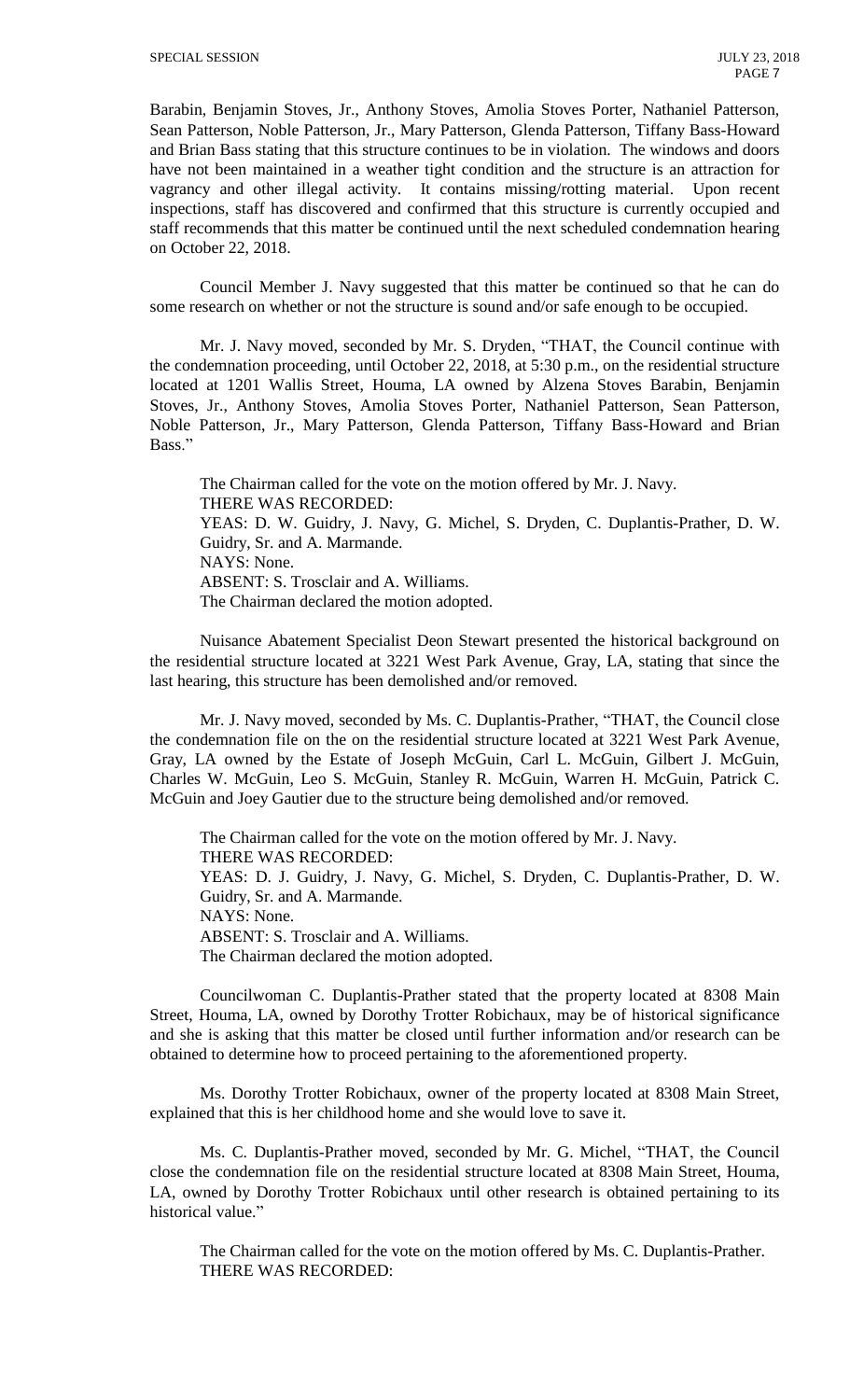Barabin, Benjamin Stoves, Jr., Anthony Stoves, Amolia Stoves Porter, Nathaniel Patterson, Sean Patterson, Noble Patterson, Jr., Mary Patterson, Glenda Patterson, Tiffany Bass-Howard and Brian Bass stating that this structure continues to be in violation. The windows and doors have not been maintained in a weather tight condition and the structure is an attraction for vagrancy and other illegal activity. It contains missing/rotting material. Upon recent inspections, staff has discovered and confirmed that this structure is currently occupied and staff recommends that this matter be continued until the next scheduled condemnation hearing on October 22, 2018.

Council Member J. Navy suggested that this matter be continued so that he can do some research on whether or not the structure is sound and/or safe enough to be occupied.

Mr. J. Navy moved, seconded by Mr. S. Dryden, "THAT, the Council continue with the condemnation proceeding, until October 22, 2018, at 5:30 p.m., on the residential structure located at 1201 Wallis Street, Houma, LA owned by Alzena Stoves Barabin, Benjamin Stoves, Jr., Anthony Stoves, Amolia Stoves Porter, Nathaniel Patterson, Sean Patterson, Noble Patterson, Jr., Mary Patterson, Glenda Patterson, Tiffany Bass-Howard and Brian Bass."

The Chairman called for the vote on the motion offered by Mr. J. Navy. THERE WAS RECORDED: YEAS: D. W. Guidry, J. Navy, G. Michel, S. Dryden, C. Duplantis-Prather, D. W. Guidry, Sr. and A. Marmande. NAYS: None. ABSENT: S. Trosclair and A. Williams. The Chairman declared the motion adopted.

Nuisance Abatement Specialist Deon Stewart presented the historical background on the residential structure located at 3221 West Park Avenue, Gray, LA, stating that since the last hearing, this structure has been demolished and/or removed.

Mr. J. Navy moved, seconded by Ms. C. Duplantis-Prather, "THAT, the Council close the condemnation file on the on the residential structure located at 3221 West Park Avenue, Gray, LA owned by the Estate of Joseph McGuin, Carl L. McGuin, Gilbert J. McGuin, Charles W. McGuin, Leo S. McGuin, Stanley R. McGuin, Warren H. McGuin, Patrick C. McGuin and Joey Gautier due to the structure being demolished and/or removed.

The Chairman called for the vote on the motion offered by Mr. J. Navy. THERE WAS RECORDED: YEAS: D. J. Guidry, J. Navy, G. Michel, S. Dryden, C. Duplantis-Prather, D. W. Guidry, Sr. and A. Marmande. NAYS: None. ABSENT: S. Trosclair and A. Williams. The Chairman declared the motion adopted.

Councilwoman C. Duplantis-Prather stated that the property located at 8308 Main Street, Houma, LA, owned by Dorothy Trotter Robichaux, may be of historical significance and she is asking that this matter be closed until further information and/or research can be obtained to determine how to proceed pertaining to the aforementioned property.

Ms. Dorothy Trotter Robichaux, owner of the property located at 8308 Main Street, explained that this is her childhood home and she would love to save it.

Ms. C. Duplantis-Prather moved, seconded by Mr. G. Michel, "THAT, the Council close the condemnation file on the residential structure located at 8308 Main Street, Houma, LA, owned by Dorothy Trotter Robichaux until other research is obtained pertaining to its historical value."

The Chairman called for the vote on the motion offered by Ms. C. Duplantis-Prather. THERE WAS RECORDED: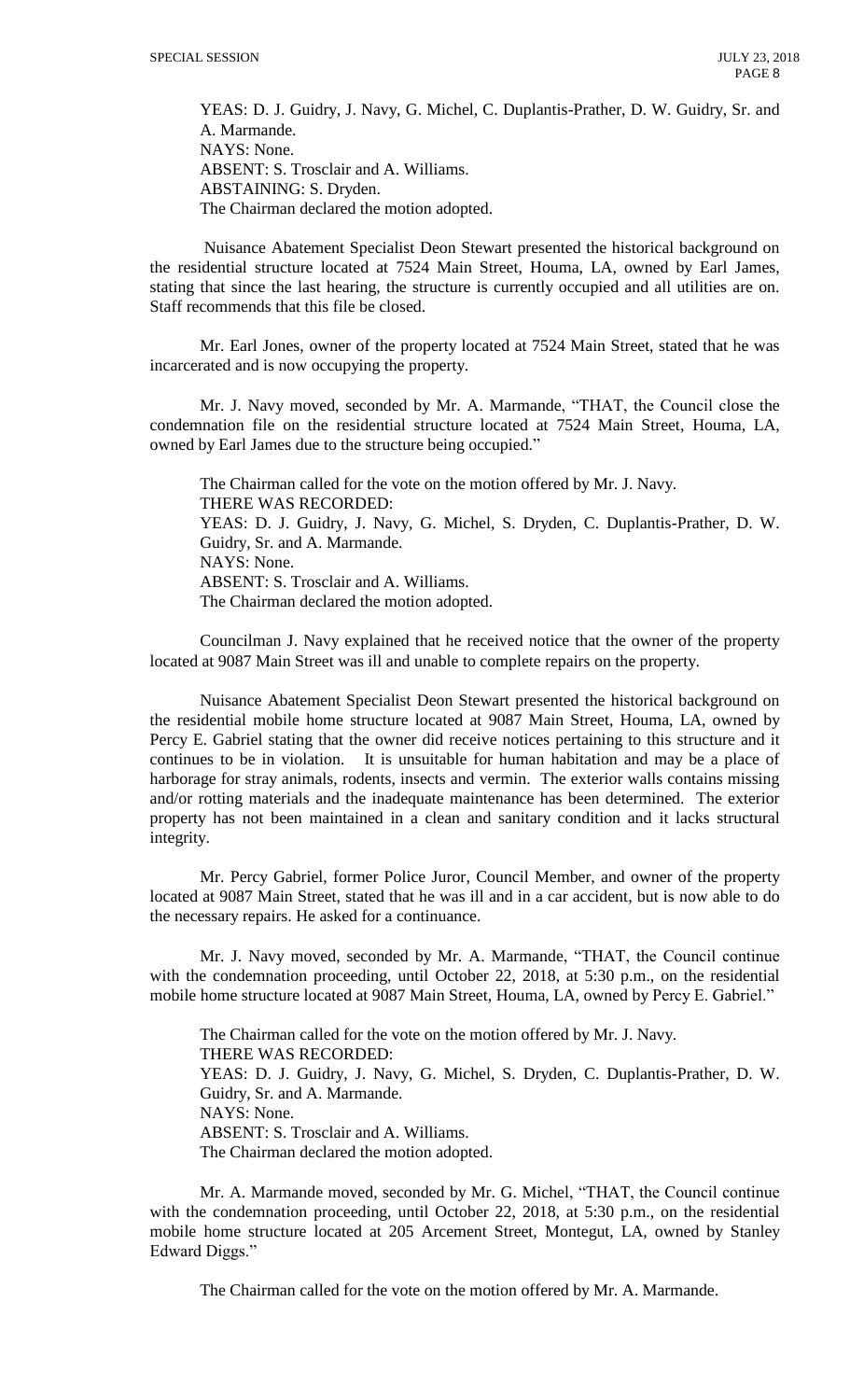YEAS: D. J. Guidry, J. Navy, G. Michel, C. Duplantis-Prather, D. W. Guidry, Sr. and A. Marmande. NAYS: None. ABSENT: S. Trosclair and A. Williams. ABSTAINING: S. Dryden. The Chairman declared the motion adopted.

Nuisance Abatement Specialist Deon Stewart presented the historical background on the residential structure located at 7524 Main Street, Houma, LA, owned by Earl James, stating that since the last hearing, the structure is currently occupied and all utilities are on. Staff recommends that this file be closed.

Mr. Earl Jones, owner of the property located at 7524 Main Street, stated that he was incarcerated and is now occupying the property.

Mr. J. Navy moved, seconded by Mr. A. Marmande, "THAT, the Council close the condemnation file on the residential structure located at 7524 Main Street, Houma, LA, owned by Earl James due to the structure being occupied."

The Chairman called for the vote on the motion offered by Mr. J. Navy. THERE WAS RECORDED: YEAS: D. J. Guidry, J. Navy, G. Michel, S. Dryden, C. Duplantis-Prather, D. W. Guidry, Sr. and A. Marmande. NAYS: None. ABSENT: S. Trosclair and A. Williams. The Chairman declared the motion adopted.

Councilman J. Navy explained that he received notice that the owner of the property located at 9087 Main Street was ill and unable to complete repairs on the property.

Nuisance Abatement Specialist Deon Stewart presented the historical background on the residential mobile home structure located at 9087 Main Street, Houma, LA, owned by Percy E. Gabriel stating that the owner did receive notices pertaining to this structure and it continues to be in violation. It is unsuitable for human habitation and may be a place of harborage for stray animals, rodents, insects and vermin. The exterior walls contains missing and/or rotting materials and the inadequate maintenance has been determined. The exterior property has not been maintained in a clean and sanitary condition and it lacks structural integrity.

Mr. Percy Gabriel, former Police Juror, Council Member, and owner of the property located at 9087 Main Street, stated that he was ill and in a car accident, but is now able to do the necessary repairs. He asked for a continuance.

Mr. J. Navy moved, seconded by Mr. A. Marmande, "THAT, the Council continue with the condemnation proceeding, until October 22, 2018, at 5:30 p.m., on the residential mobile home structure located at 9087 Main Street, Houma, LA, owned by Percy E. Gabriel."

The Chairman called for the vote on the motion offered by Mr. J. Navy. THERE WAS RECORDED: YEAS: D. J. Guidry, J. Navy, G. Michel, S. Dryden, C. Duplantis-Prather, D. W. Guidry, Sr. and A. Marmande. NAYS: None. ABSENT: S. Trosclair and A. Williams. The Chairman declared the motion adopted.

Mr. A. Marmande moved, seconded by Mr. G. Michel, "THAT, the Council continue with the condemnation proceeding, until October 22, 2018, at 5:30 p.m., on the residential mobile home structure located at 205 Arcement Street, Montegut, LA, owned by Stanley Edward Diggs."

The Chairman called for the vote on the motion offered by Mr. A. Marmande.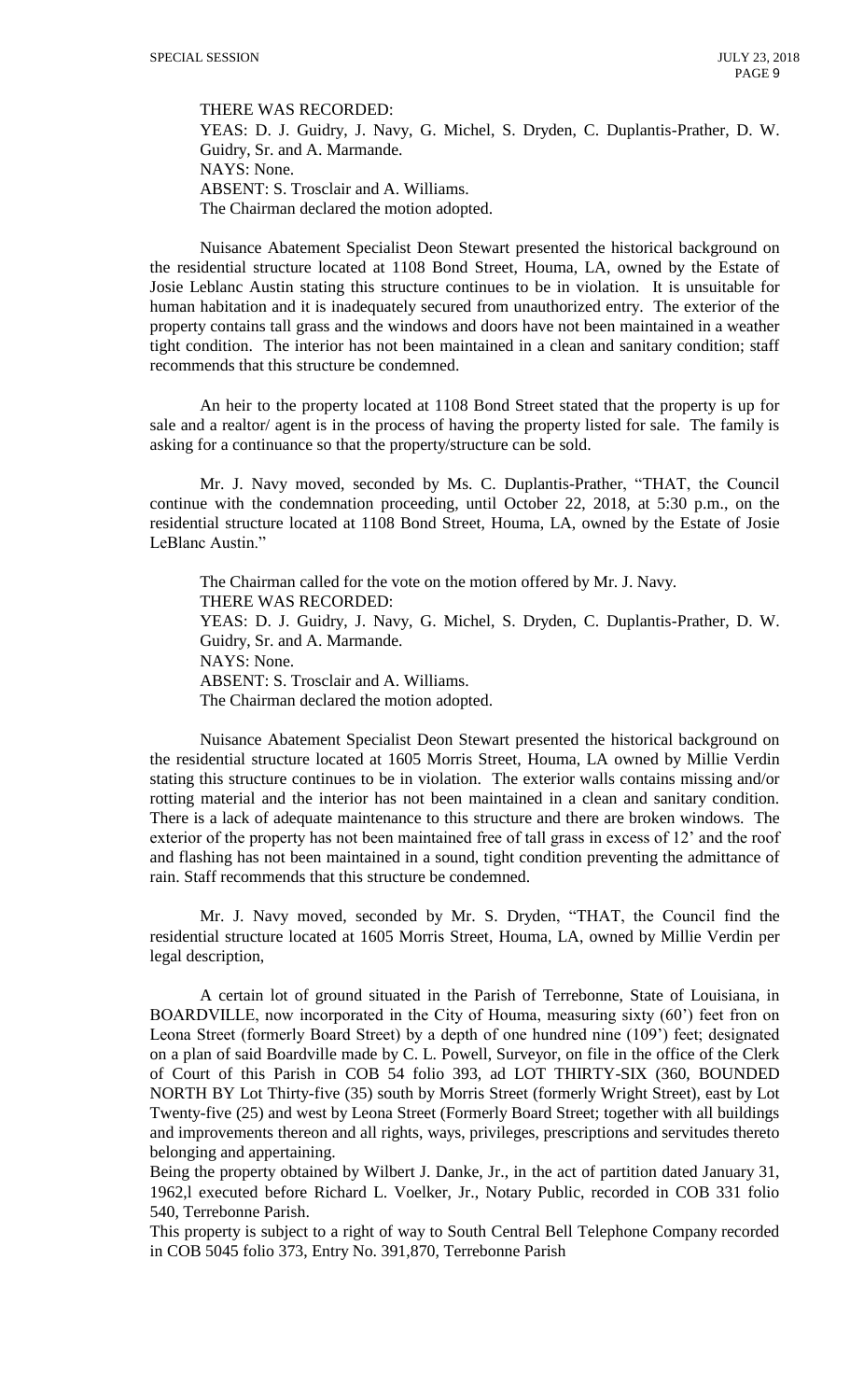THERE WAS RECORDED:

YEAS: D. J. Guidry, J. Navy, G. Michel, S. Dryden, C. Duplantis-Prather, D. W. Guidry, Sr. and A. Marmande. NAYS: None. ABSENT: S. Trosclair and A. Williams. The Chairman declared the motion adopted.

Nuisance Abatement Specialist Deon Stewart presented the historical background on the residential structure located at 1108 Bond Street, Houma, LA, owned by the Estate of Josie Leblanc Austin stating this structure continues to be in violation. It is unsuitable for human habitation and it is inadequately secured from unauthorized entry. The exterior of the property contains tall grass and the windows and doors have not been maintained in a weather tight condition. The interior has not been maintained in a clean and sanitary condition; staff recommends that this structure be condemned.

An heir to the property located at 1108 Bond Street stated that the property is up for sale and a realtor/ agent is in the process of having the property listed for sale. The family is asking for a continuance so that the property/structure can be sold.

Mr. J. Navy moved, seconded by Ms. C. Duplantis-Prather, "THAT, the Council continue with the condemnation proceeding, until October 22, 2018, at 5:30 p.m., on the residential structure located at 1108 Bond Street, Houma, LA, owned by the Estate of Josie LeBlanc Austin."

The Chairman called for the vote on the motion offered by Mr. J. Navy. THERE WAS RECORDED: YEAS: D. J. Guidry, J. Navy, G. Michel, S. Dryden, C. Duplantis-Prather, D. W. Guidry, Sr. and A. Marmande. NAYS: None. ABSENT: S. Trosclair and A. Williams. The Chairman declared the motion adopted.

Nuisance Abatement Specialist Deon Stewart presented the historical background on the residential structure located at 1605 Morris Street, Houma, LA owned by Millie Verdin stating this structure continues to be in violation. The exterior walls contains missing and/or rotting material and the interior has not been maintained in a clean and sanitary condition. There is a lack of adequate maintenance to this structure and there are broken windows. The exterior of the property has not been maintained free of tall grass in excess of 12' and the roof and flashing has not been maintained in a sound, tight condition preventing the admittance of rain. Staff recommends that this structure be condemned.

Mr. J. Navy moved, seconded by Mr. S. Dryden, "THAT, the Council find the residential structure located at 1605 Morris Street, Houma, LA, owned by Millie Verdin per legal description,

A certain lot of ground situated in the Parish of Terrebonne, State of Louisiana, in BOARDVILLE, now incorporated in the City of Houma, measuring sixty (60') feet fron on Leona Street (formerly Board Street) by a depth of one hundred nine (109') feet; designated on a plan of said Boardville made by C. L. Powell, Surveyor, on file in the office of the Clerk of Court of this Parish in COB 54 folio 393, ad LOT THIRTY-SIX (360, BOUNDED NORTH BY Lot Thirty-five (35) south by Morris Street (formerly Wright Street), east by Lot Twenty-five (25) and west by Leona Street (Formerly Board Street; together with all buildings and improvements thereon and all rights, ways, privileges, prescriptions and servitudes thereto belonging and appertaining.

Being the property obtained by Wilbert J. Danke, Jr., in the act of partition dated January 31, 1962,l executed before Richard L. Voelker, Jr., Notary Public, recorded in COB 331 folio 540, Terrebonne Parish.

This property is subject to a right of way to South Central Bell Telephone Company recorded in COB 5045 folio 373, Entry No. 391,870, Terrebonne Parish